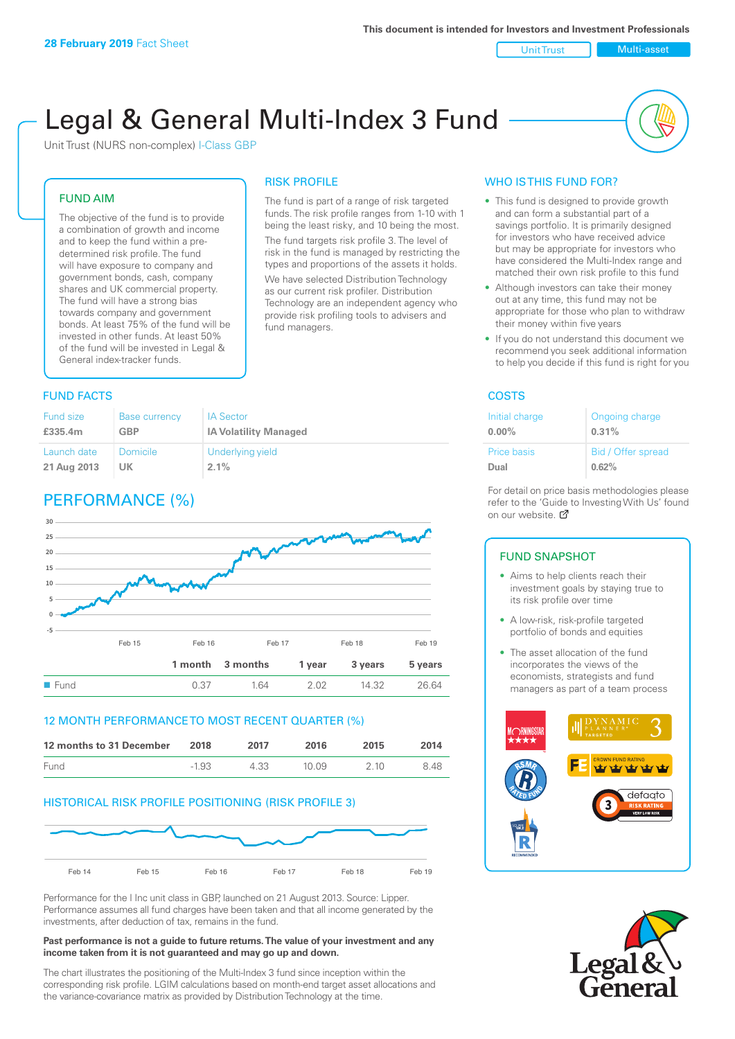#### Unit Trust Nulti-asset

# Legal & General Multi-Index 3 Fund

RISK PROFILE

fund managers.

The fund is part of a range of risk targeted funds. The risk profile ranges from 1-10 with 1 being the least risky, and 10 being the most. The fund targets risk profile 3. The level of risk in the fund is managed by restricting the types and proportions of the assets it holds. We have selected Distribution Technology as our current risk profiler. Distribution Technology are an independent agency who provide risk profiling tools to advisers and

Unit Trust (NURS non-complex) I-Class GBP

#### FUND AIM

The objective of the fund is to provide a combination of growth and income and to keep the fund within a predetermined risk profile. The fund will have exposure to company and government bonds, cash, company shares and UK commercial property. The fund will have a strong bias towards company and government bonds. At least 75% of the fund will be invested in other funds. At least 50% of the fund will be invested in Legal & General index-tracker funds.

#### **FUND FACTS** COSTS

| <b>Fund size</b> | <b>Base currency</b> | <b>IA Sector</b>             |
|------------------|----------------------|------------------------------|
| £335.4m          | <b>GBP</b>           | <b>IA Volatility Managed</b> |
| Launch date      | Domicile             | Underlying yield             |
| 21 Aug 2013      | UK.                  | $2.1\%$                      |

## PERFORMANCE (%)



#### 12 MONTH PERFORMANCE TO MOST RECENT QUARTER (%)

| 12 months to 31 December | 2018    | 2017 | 2016   | 2015 | 2014 |
|--------------------------|---------|------|--------|------|------|
| Fund                     | $-1.93$ | 4.33 | 10 Q.9 | 210  | 848  |

#### HISTORICAL RISK PROFILE POSITIONING (RISK PROFILE 3)



Performance for the I Inc unit class in GBP, launched on 21 August 2013. Source: Lipper. Performance assumes all fund charges have been taken and that all income generated by the investments, after deduction of tax, remains in the fund.

#### **Past performance is not a guide to future returns. The value of your investment and any income taken from it is not guaranteed and may go up and down.**

The chart illustrates the positioning of the Multi-Index 3 fund since inception within the corresponding risk profile. LGIM calculations based on month-end target asset allocations and the variance-covariance matrix as provided by Distribution Technology at the time.

#### WHO IS THIS FUND FOR?

- This fund is designed to provide growth and can form a substantial part of a savings portfolio. It is primarily designed for investors who have received advice but may be appropriate for investors who have considered the Multi-Index range and matched their own risk profile to this fund
- Although investors can take their money out at any time, this fund may not be appropriate for those who plan to withdraw their money within five years
- If you do not understand this document we recommend you seek additional information to help you decide if this fund is right for you

| Initial charge | Ongoing charge     |
|----------------|--------------------|
| $0.00\%$       | 0.31%              |
| Price basis    | Bid / Offer spread |
| Dual           | 0.62%              |

For detail on price basis methodologies please refer to the 'Guide to Investing With Us' found on our website. Ø

#### FUND SNAPSHOT

- Aims to help clients reach their investment goals by staying true to its risk profile over time
- A low-risk, risk-profile targeted portfolio of bonds and equities
- The asset allocation of the fund incorporates the views of the economists, strategists and fund managers as part of a team process



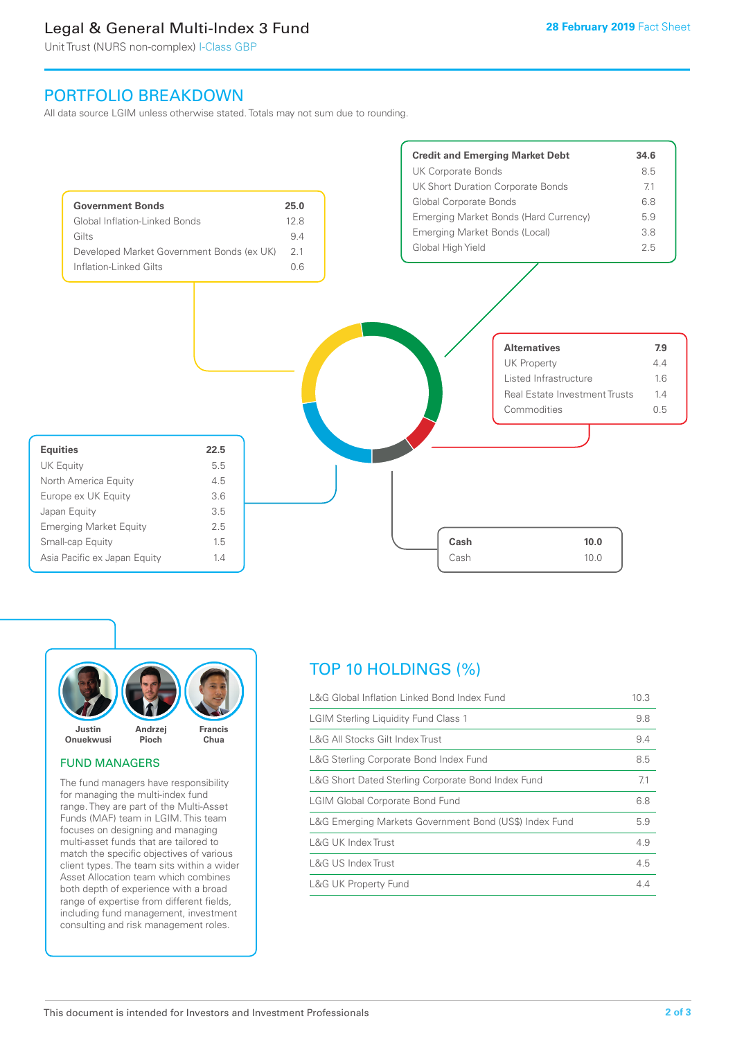## Legal & General Multi-Index 3 Fund

Unit Trust (NURS non-complex) I-Class GBP

## PORTFOLIO BREAKDOWN

All data source LGIM unless otherwise stated. Totals may not sum due to rounding.





#### FUND MANAGERS

The fund managers have responsibility for managing the multi-index fund range. They are part of the Multi-Asset Funds (MAF) team in LGIM. This team focuses on designing and managing multi-asset funds that are tailored to match the specific objectives of various client types. The team sits within a wider Asset Allocation team which combines both depth of experience with a broad range of expertise from different fields, including fund management, investment consulting and risk management roles.

## TOP 10 HOLDINGS (%)

| L&G Global Inflation Linked Bond Index Fund            | 10.3 |
|--------------------------------------------------------|------|
| <b>LGIM Sterling Liquidity Fund Class 1</b>            | 9.8  |
| L&G All Stocks Gilt Index Trust                        | 9.4  |
| L&G Sterling Corporate Bond Index Fund                 | 8.5  |
| L&G Short Dated Sterling Corporate Bond Index Fund     | 7.1  |
| <b>LGIM Global Corporate Bond Fund</b>                 | 6.8  |
| L&G Emerging Markets Government Bond (US\$) Index Fund | 5.9  |
| L&G UK Index Trust                                     | 4.9  |
| L&G US Index Trust                                     | 4.5  |
| <b>L&amp;G UK Property Fund</b>                        | 44   |